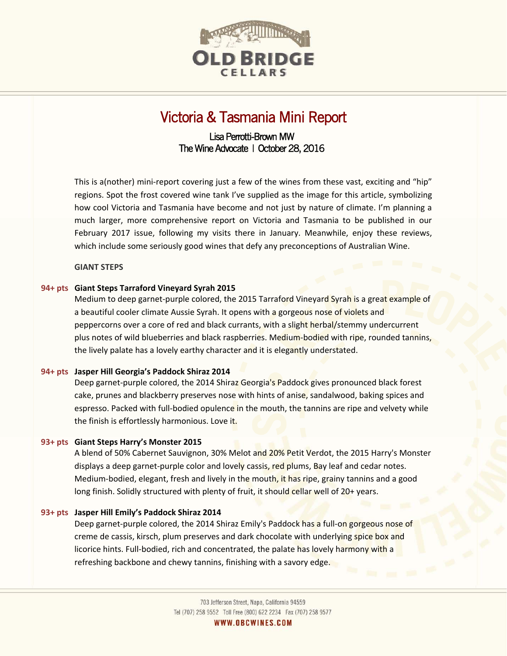

# Victoria & Tasmania Mini Report

# Lisa Perrotti-Brown MW The Wine Advocate | October 28, 2016

This is a(nother) mini-report covering just a few of the wines from these vast, exciting and "hip" regions. Spot the frost covered wine tank I've supplied as the image for this article, symbolizing how cool Victoria and Tasmania have become and not just by nature of climate. I'm planning a much larger, more comprehensive report on Victoria and Tasmania to be published in our February 2017 issue, following my visits there in January. Meanwhile, enjoy these reviews, which include some seriously good wines that defy any preconceptions of Australian Wine.

# **GIANT STEPS**

## **94+ pts Giant Steps Tarraford Vineyard Syrah 2015**

Medium to deep garnet-purple colored, the 2015 Tarraford Vineyard Syrah is a great example of a beautiful cooler climate Aussie Syrah. It opens with a gorgeous nose of violets and peppercorns over a core of red and black currants, with a slight herbal/stemmy undercurrent plus notes of wild blueberries and black raspberries. Medium-bodied with ripe, rounded tannins, the lively palate has a lovely earthy character and it is elegantly understated.

#### **94+ pts Jasper Hill Georgia's Paddock Shiraz 2014**

Deep garnet-purple colored, the 2014 Shiraz Georgia's Paddock gives pronounced black forest cake, prunes and blackberry preserves nose with hints of anise, sandalwood, baking spices and espresso. Packed with full-bodied opulence in the mouth, the tannins are ripe and velvety while the finish is effortlessly harmonious. Love it.

#### **93+ pts Giant Steps Harry's Monster 2015**

A blend of 50% Cabernet Sauvignon, 30% Melot and 20% Petit Verdot, the 2015 Harry's Monster displays a deep garnet-purple color and lovely cassis, red plums, Bay leaf and cedar notes. Medium-bodied, elegant, fresh and lively in the mouth, it has ripe, grainy tannins and a good long finish. Solidly structured with plenty of fruit, it should cellar well of 20+ years.

#### **93+ pts Jasper Hill Emily's Paddock Shiraz 2014**

Deep garnet-purple colored, the 2014 Shiraz Emily's Paddock has a full-on gorgeous nose of creme de cassis, kirsch, plum preserves and dark chocolate with underlying spice box and licorice hints. Full-bodied, rich and concentrated, the palate has lovely harmony with a refreshing backbone and chewy tannins, finishing with a savory edge.

WWW.OBCWINES.COM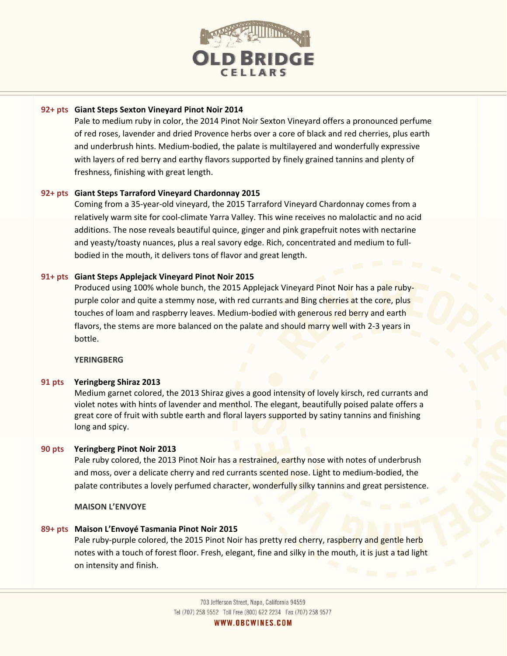

#### **92+ pts Giant Steps Sexton Vineyard Pinot Noir 2014**

Pale to medium ruby in color, the 2014 Pinot Noir Sexton Vineyard offers a pronounced perfume of red roses, lavender and dried Provence herbs over a core of black and red cherries, plus earth and underbrush hints. Medium-bodied, the palate is multilayered and wonderfully expressive with layers of red berry and earthy flavors supported by finely grained tannins and plenty of freshness, finishing with great length.

# **92+ pts Giant Steps Tarraford Vineyard Chardonnay 2015**

Coming from a 35-year-old vineyard, the 2015 Tarraford Vineyard Chardonnay comes from a relatively warm site for cool-climate Yarra Valley. This wine receives no malolactic and no acid additions. The nose reveals beautiful quince, ginger and pink grapefruit notes with nectarine and yeasty/toasty nuances, plus a real savory edge. Rich, concentrated and medium to fullbodied in the mouth, it delivers tons of flavor and great length.

## **91+ pts Giant Steps Applejack Vineyard Pinot Noir 2015**

Produced using 100% whole bunch, the 2015 Applejack Vineyard Pinot Noir has a pale rubypurple color and quite a stemmy nose, with red currants and Bing cherries at the core, plus touches of loam and raspberry leaves. Medium-bodied with generous red berry and earth flavors, the stems are more balanced on the palate and should marry well with 2-3 years in bottle.

#### **YERINGBERG**

#### **91 pts Yeringberg Shiraz 2013**

Medium garnet colored, the 2013 Shiraz gives a good intensity of lovely kirsch, red currants and violet notes with hints of lavender and menthol. The elegant, beautifully poised palate offers a great core of fruit with subtle earth and floral layers supported by satiny tannins and finishing long and spicy.

#### **90 pts Yeringberg Pinot Noir 2013**

Pale ruby colored, the 2013 Pinot Noir has a restrained, earthy nose with notes of underbrush and moss, over a delicate cherry and red currants scented nose. Light to medium-bodied, the palate contributes a lovely perfumed character, wonderfully silky tannins and great persistence.

**MAISON L'ENVOYE** 

#### **89+ pts Maison L'Envoyé Tasmania Pinot Noir 2015**

Pale ruby-purple colored, the 2015 Pinot Noir has pretty red cherry, raspberry and gentle herb notes with a touch of forest floor. Fresh, elegant, fine and silky in the mouth, it is just a tad light on intensity and finish.